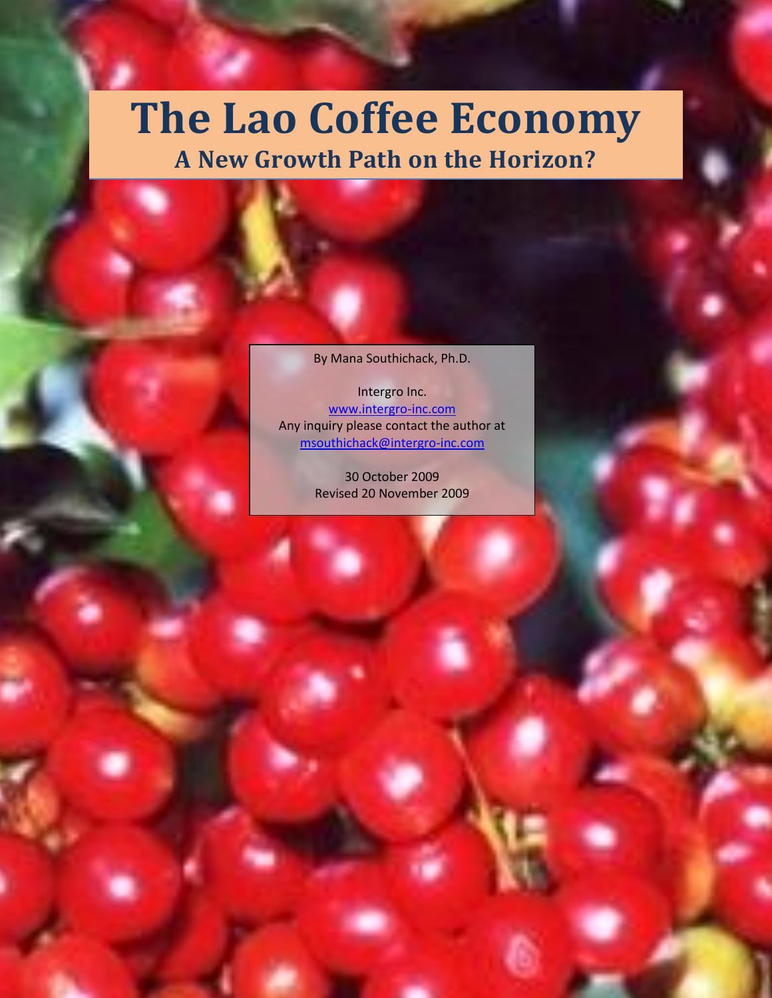# **The Lao Coffee Economy A New Growth Path on the Horizon?**

By Mana Southichack, Ph.D.

Intergro Inc. [www.intergro-inc.com](http://www.intergro-inc.com/) Any inquiry please contact the author at [msouthichack@intergro-inc.com](mailto:msouthichack@intergro-inc.com)

> 30 October 2009 Revised 20 November 2009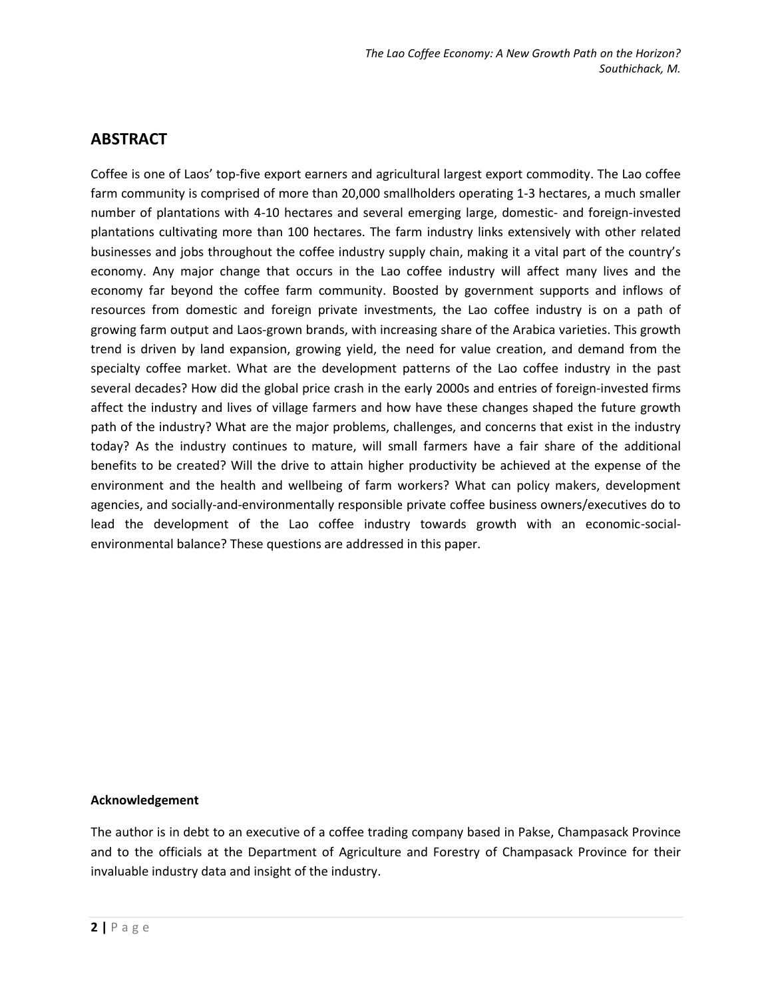#### **ABSTRACT**

Coffee is one of Laos' top-five export earners and agricultural largest export commodity. The Lao coffee farm community is comprised of more than 20,000 smallholders operating 1-3 hectares, a much smaller number of plantations with 4-10 hectares and several emerging large, domestic- and foreign-invested plantations cultivating more than 100 hectares. The farm industry links extensively with other related businesses and jobs throughout the coffee industry supply chain, making it a vital part of the country's economy. Any major change that occurs in the Lao coffee industry will affect many lives and the economy far beyond the coffee farm community. Boosted by government supports and inflows of resources from domestic and foreign private investments, the Lao coffee industry is on a path of growing farm output and Laos-grown brands, with increasing share of the Arabica varieties. This growth trend is driven by land expansion, growing yield, the need for value creation, and demand from the specialty coffee market. What are the development patterns of the Lao coffee industry in the past several decades? How did the global price crash in the early 2000s and entries of foreign-invested firms affect the industry and lives of village farmers and how have these changes shaped the future growth path of the industry? What are the major problems, challenges, and concerns that exist in the industry today? As the industry continues to mature, will small farmers have a fair share of the additional benefits to be created? Will the drive to attain higher productivity be achieved at the expense of the environment and the health and wellbeing of farm workers? What can policy makers, development agencies, and socially-and-environmentally responsible private coffee business owners/executives do to lead the development of the Lao coffee industry towards growth with an economic-socialenvironmental balance? These questions are addressed in this paper.

#### **Acknowledgement**

The author is in debt to an executive of a coffee trading company based in Pakse, Champasack Province and to the officials at the Department of Agriculture and Forestry of Champasack Province for their invaluable industry data and insight of the industry.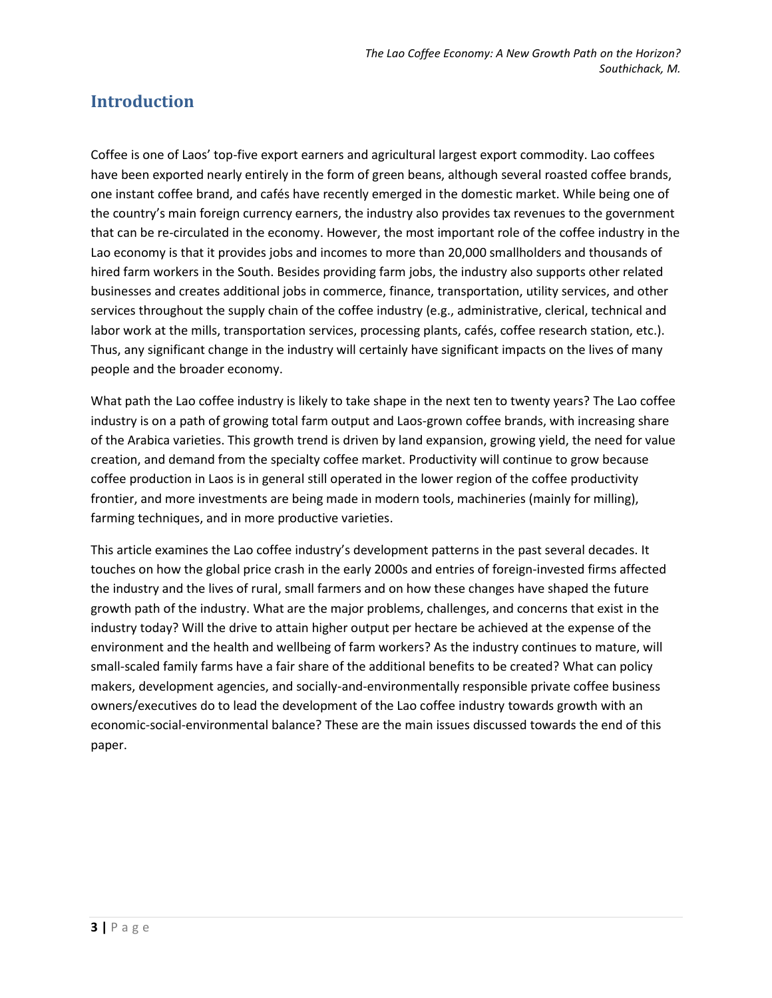### **Introduction**

Coffee is one of Laos' top-five export earners and agricultural largest export commodity. Lao coffees have been exported nearly entirely in the form of green beans, although several roasted coffee brands, one instant coffee brand, and cafés have recently emerged in the domestic market. While being one of the country's main foreign currency earners, the industry also provides tax revenues to the government that can be re-circulated in the economy. However, the most important role of the coffee industry in the Lao economy is that it provides jobs and incomes to more than 20,000 smallholders and thousands of hired farm workers in the South. Besides providing farm jobs, the industry also supports other related businesses and creates additional jobs in commerce, finance, transportation, utility services, and other services throughout the supply chain of the coffee industry (e.g., administrative, clerical, technical and labor work at the mills, transportation services, processing plants, cafés, coffee research station, etc.). Thus, any significant change in the industry will certainly have significant impacts on the lives of many people and the broader economy.

What path the Lao coffee industry is likely to take shape in the next ten to twenty years? The Lao coffee industry is on a path of growing total farm output and Laos-grown coffee brands, with increasing share of the Arabica varieties. This growth trend is driven by land expansion, growing yield, the need for value creation, and demand from the specialty coffee market. Productivity will continue to grow because coffee production in Laos is in general still operated in the lower region of the coffee productivity frontier, and more investments are being made in modern tools, machineries (mainly for milling), farming techniques, and in more productive varieties.

This article examines the Lao coffee industry's development patterns in the past several decades. It touches on how the global price crash in the early 2000s and entries of foreign-invested firms affected the industry and the lives of rural, small farmers and on how these changes have shaped the future growth path of the industry. What are the major problems, challenges, and concerns that exist in the industry today? Will the drive to attain higher output per hectare be achieved at the expense of the environment and the health and wellbeing of farm workers? As the industry continues to mature, will small-scaled family farms have a fair share of the additional benefits to be created? What can policy makers, development agencies, and socially-and-environmentally responsible private coffee business owners/executives do to lead the development of the Lao coffee industry towards growth with an economic-social-environmental balance? These are the main issues discussed towards the end of this paper.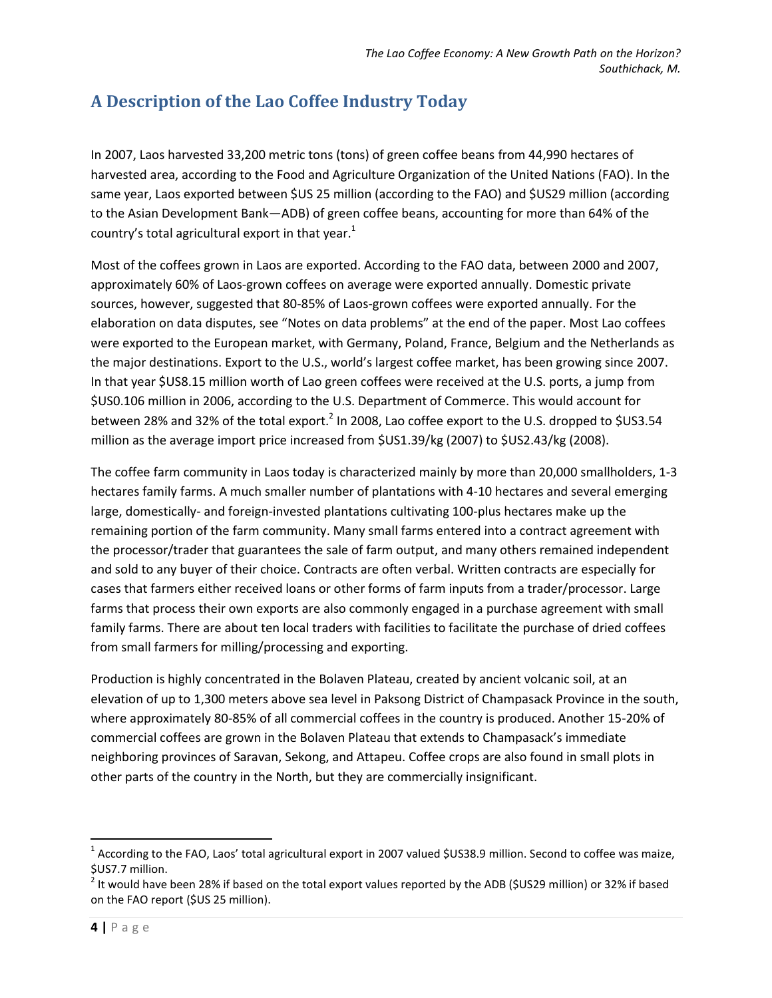## **A Description of the Lao Coffee Industry Today**

In 2007, Laos harvested 33,200 metric tons (tons) of green coffee beans from 44,990 hectares of harvested area, according to the Food and Agriculture Organization of the United Nations (FAO). In the same year, Laos exported between \$US 25 million (according to the FAO) and \$US29 million (according to the Asian Development Bank—ADB) of green coffee beans, accounting for more than 64% of the country's total agricultural export in that year. $1$ 

Most of the coffees grown in Laos are exported. According to the FAO data, between 2000 and 2007, approximately 60% of Laos-grown coffees on average were exported annually. Domestic private sources, however, suggested that 80-85% of Laos-grown coffees were exported annually. For the elaboration on data disputes, see "Notes on data problems" at the end of the paper. Most Lao coffees were exported to the European market, with Germany, Poland, France, Belgium and the Netherlands as the major destinations. Export to the U.S., world's largest coffee market, has been growing since 2007. In that year \$US8.15 million worth of Lao green coffees were received at the U.S. ports, a jump from \$US0.106 million in 2006, according to the U.S. Department of Commerce. This would account for between 28% and 32% of the total export.<sup>2</sup> In 2008, Lao coffee export to the U.S. dropped to \$US3.54 million as the average import price increased from \$US1.39/kg (2007) to \$US2.43/kg (2008).

The coffee farm community in Laos today is characterized mainly by more than 20,000 smallholders, 1-3 hectares family farms. A much smaller number of plantations with 4-10 hectares and several emerging large, domestically- and foreign-invested plantations cultivating 100-plus hectares make up the remaining portion of the farm community. Many small farms entered into a contract agreement with the processor/trader that guarantees the sale of farm output, and many others remained independent and sold to any buyer of their choice. Contracts are often verbal. Written contracts are especially for cases that farmers either received loans or other forms of farm inputs from a trader/processor. Large farms that process their own exports are also commonly engaged in a purchase agreement with small family farms. There are about ten local traders with facilities to facilitate the purchase of dried coffees from small farmers for milling/processing and exporting.

Production is highly concentrated in the Bolaven Plateau, created by ancient volcanic soil, at an elevation of up to 1,300 meters above sea level in Paksong District of Champasack Province in the south, where approximately 80-85% of all commercial coffees in the country is produced. Another 15-20% of commercial coffees are grown in the Bolaven Plateau that extends to Champasack's immediate neighboring provinces of Saravan, Sekong, and Attapeu. Coffee crops are also found in small plots in other parts of the country in the North, but they are commercially insignificant.

 $\overline{a}$ 

<sup>&</sup>lt;sup>1</sup> According to the FAO, Laos' total agricultural export in 2007 valued \$US38.9 million. Second to coffee was maize, \$US7.7 million.

<sup>&</sup>lt;sup>2</sup> It would have been 28% if based on the total export values reported by the ADB (\$US29 million) or 32% if based on the FAO report (\$US 25 million).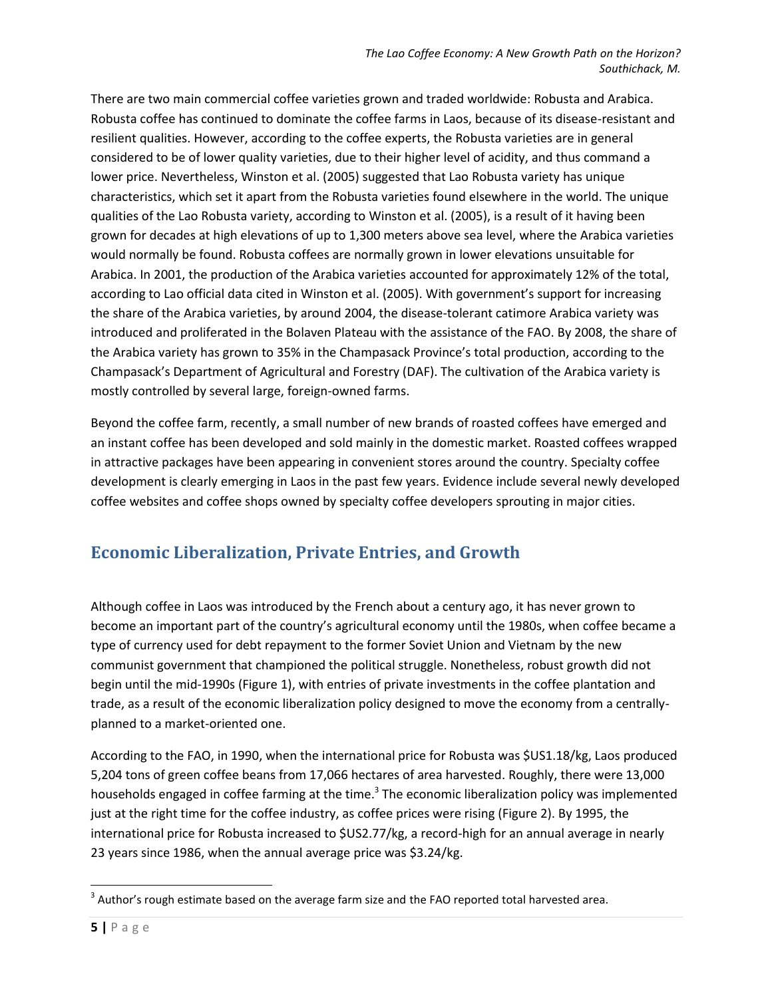There are two main commercial coffee varieties grown and traded worldwide: Robusta and Arabica. Robusta coffee has continued to dominate the coffee farms in Laos, because of its disease-resistant and resilient qualities. However, according to the coffee experts, the Robusta varieties are in general considered to be of lower quality varieties, due to their higher level of acidity, and thus command a lower price. Nevertheless, Winston et al. (2005) suggested that Lao Robusta variety has unique characteristics, which set it apart from the Robusta varieties found elsewhere in the world. The unique qualities of the Lao Robusta variety, according to Winston et al. (2005), is a result of it having been grown for decades at high elevations of up to 1,300 meters above sea level, where the Arabica varieties would normally be found. Robusta coffees are normally grown in lower elevations unsuitable for Arabica. In 2001, the production of the Arabica varieties accounted for approximately 12% of the total, according to Lao official data cited in Winston et al. (2005). With government's support for increasing the share of the Arabica varieties, by around 2004, the disease-tolerant catimore Arabica variety was introduced and proliferated in the Bolaven Plateau with the assistance of the FAO. By 2008, the share of the Arabica variety has grown to 35% in the Champasack Province's total production, according to the Champasack's Department of Agricultural and Forestry (DAF). The cultivation of the Arabica variety is mostly controlled by several large, foreign-owned farms.

Beyond the coffee farm, recently, a small number of new brands of roasted coffees have emerged and an instant coffee has been developed and sold mainly in the domestic market. Roasted coffees wrapped in attractive packages have been appearing in convenient stores around the country. Specialty coffee development is clearly emerging in Laos in the past few years. Evidence include several newly developed coffee websites and coffee shops owned by specialty coffee developers sprouting in major cities.

## **Economic Liberalization, Private Entries, and Growth**

Although coffee in Laos was introduced by the French about a century ago, it has never grown to become an important part of the country's agricultural economy until the 1980s, when coffee became a type of currency used for debt repayment to the former Soviet Union and Vietnam by the new communist government that championed the political struggle. Nonetheless, robust growth did not begin until the mid-1990s (Figure 1), with entries of private investments in the coffee plantation and trade, as a result of the economic liberalization policy designed to move the economy from a centrallyplanned to a market-oriented one.

According to the FAO, in 1990, when the international price for Robusta was \$US1.18/kg, Laos produced 5,204 tons of green coffee beans from 17,066 hectares of area harvested. Roughly, there were 13,000 households engaged in coffee farming at the time.<sup>3</sup> The economic liberalization policy was implemented just at the right time for the coffee industry, as coffee prices were rising (Figure 2). By 1995, the international price for Robusta increased to \$US2.77/kg, a record-high for an annual average in nearly 23 years since 1986, when the annual average price was \$3.24/kg.

 $\overline{\phantom{a}}$ 

 $3$  Author's rough estimate based on the average farm size and the FAO reported total harvested area.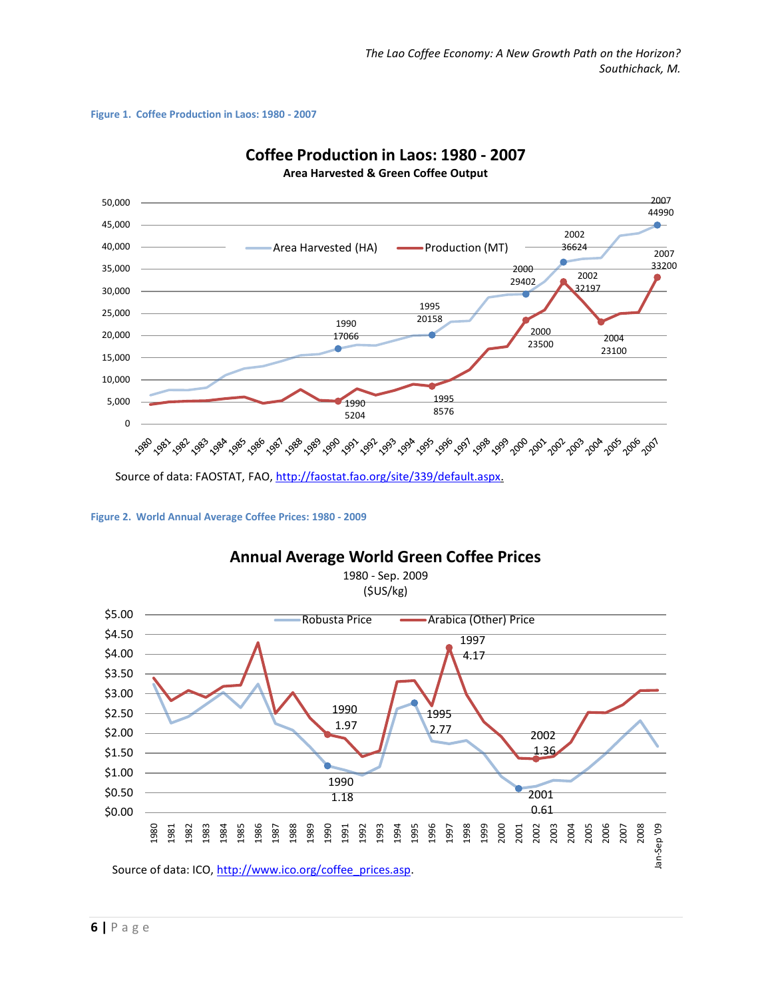#### **Figure 1. Coffee Production in Laos: 1980 - 2007**





Source of data: FAOSTAT, FAO, http://faostat.fao.org/site/339/default.aspx.

**Figure 2. World Annual Average Coffee Prices: 1980 - 2009**

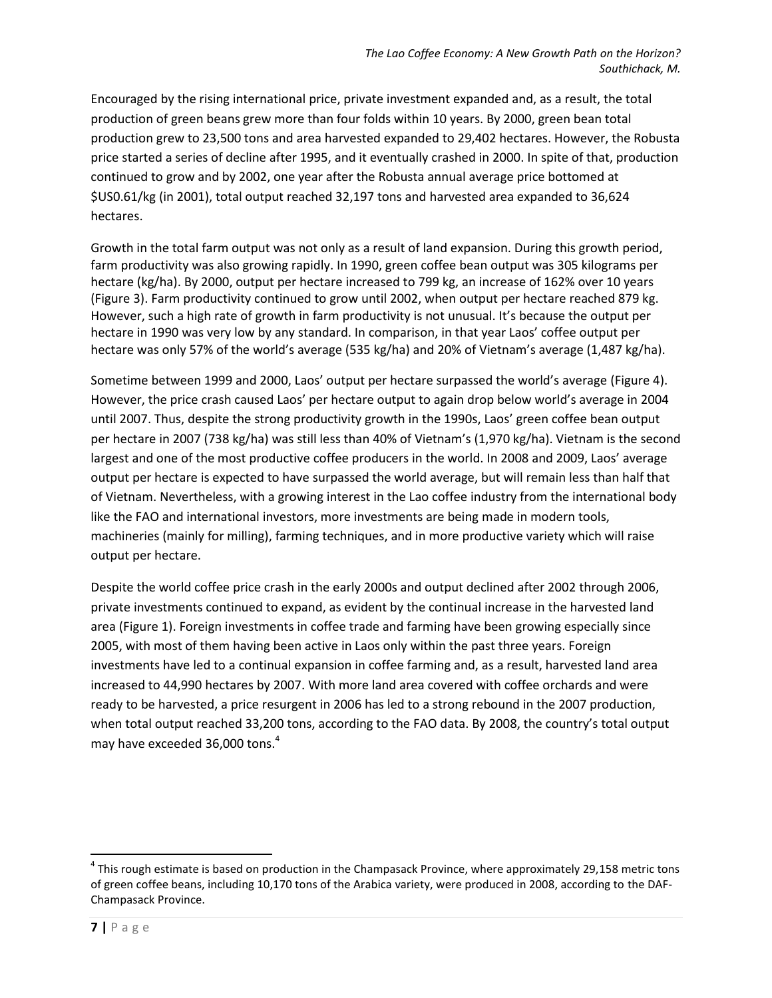Encouraged by the rising international price, private investment expanded and, as a result, the total production of green beans grew more than four folds within 10 years. By 2000, green bean total production grew to 23,500 tons and area harvested expanded to 29,402 hectares. However, the Robusta price started a series of decline after 1995, and it eventually crashed in 2000. In spite of that, production continued to grow and by 2002, one year after the Robusta annual average price bottomed at \$US0.61/kg (in 2001), total output reached 32,197 tons and harvested area expanded to 36,624 hectares.

Growth in the total farm output was not only as a result of land expansion. During this growth period, farm productivity was also growing rapidly. In 1990, green coffee bean output was 305 kilograms per hectare (kg/ha). By 2000, output per hectare increased to 799 kg, an increase of 162% over 10 years (Figure 3). Farm productivity continued to grow until 2002, when output per hectare reached 879 kg. However, such a high rate of growth in farm productivity is not unusual. It's because the output per hectare in 1990 was very low by any standard. In comparison, in that year Laos' coffee output per hectare was only 57% of the world's average (535 kg/ha) and 20% of Vietnam's average (1,487 kg/ha).

Sometime between 1999 and 2000, Laos' output per hectare surpassed the world's average (Figure 4). However, the price crash caused Laos' per hectare output to again drop below world's average in 2004 until 2007. Thus, despite the strong productivity growth in the 1990s, Laos' green coffee bean output per hectare in 2007 (738 kg/ha) was still less than 40% of Vietnam's (1,970 kg/ha). Vietnam is the second largest and one of the most productive coffee producers in the world. In 2008 and 2009, Laos' average output per hectare is expected to have surpassed the world average, but will remain less than half that of Vietnam. Nevertheless, with a growing interest in the Lao coffee industry from the international body like the FAO and international investors, more investments are being made in modern tools, machineries (mainly for milling), farming techniques, and in more productive variety which will raise output per hectare.

Despite the world coffee price crash in the early 2000s and output declined after 2002 through 2006, private investments continued to expand, as evident by the continual increase in the harvested land area (Figure 1). Foreign investments in coffee trade and farming have been growing especially since 2005, with most of them having been active in Laos only within the past three years. Foreign investments have led to a continual expansion in coffee farming and, as a result, harvested land area increased to 44,990 hectares by 2007. With more land area covered with coffee orchards and were ready to be harvested, a price resurgent in 2006 has led to a strong rebound in the 2007 production, when total output reached 33,200 tons, according to the FAO data. By 2008, the country's total output may have exceeded 36,000 tons.<sup>4</sup>

 $\overline{\phantom{a}}$ 

<sup>&</sup>lt;sup>4</sup> This rough estimate is based on production in the Champasack Province, where approximately 29,158 metric tons of green coffee beans, including 10,170 tons of the Arabica variety, were produced in 2008, according to the DAF-Champasack Province.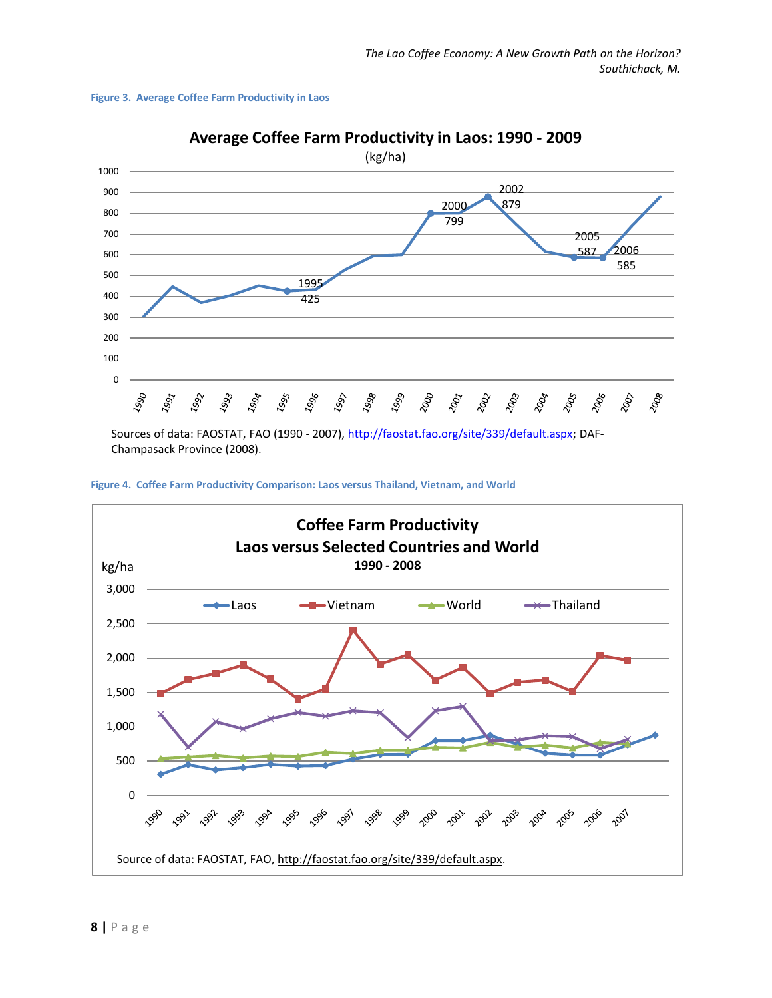



**Average Coffee Farm Productivity in Laos: 1990 - 2009**

Sources of data: FAOSTAT, FAO (1990 - 2007), http://faostat.fao.org/site/339/default.aspx; DAF-Champasack Province (2008).



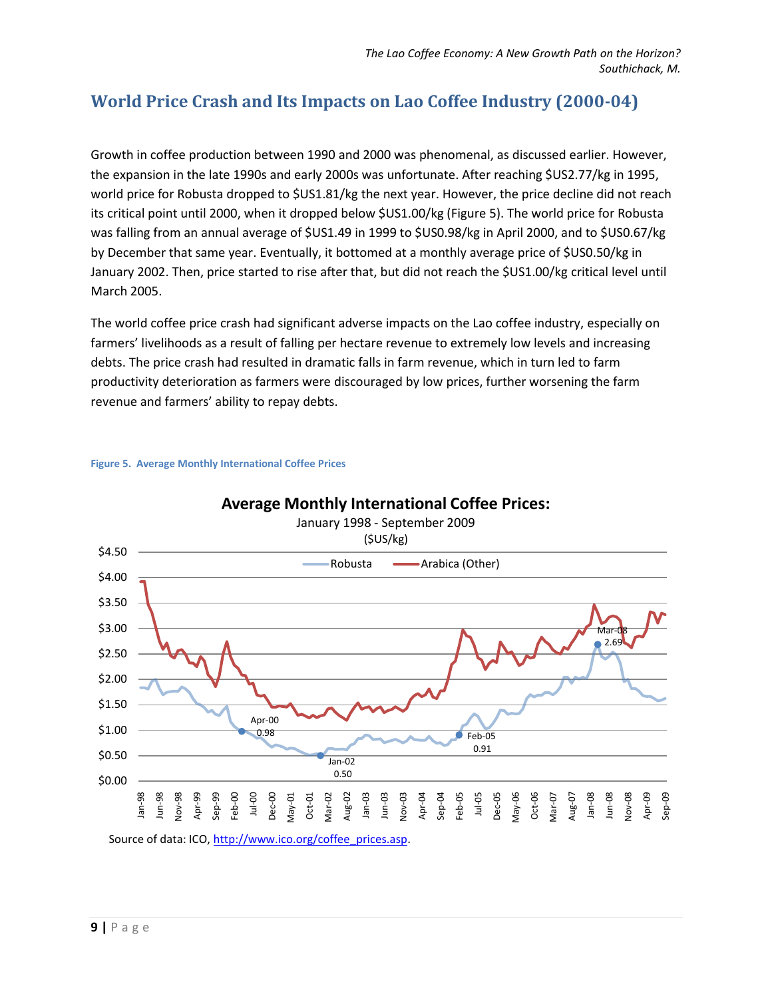## **World Price Crash and Its Impacts on Lao Coffee Industry (2000-04)**

Growth in coffee production between 1990 and 2000 was phenomenal, as discussed earlier. However, the expansion in the late 1990s and early 2000s was unfortunate. After reaching \$US2.77/kg in 1995, world price for Robusta dropped to \$US1.81/kg the next year. However, the price decline did not reach its critical point until 2000, when it dropped below \$US1.00/kg (Figure 5). The world price for Robusta was falling from an annual average of \$US1.49 in 1999 to \$US0.98/kg in April 2000, and to \$US0.67/kg by December that same year. Eventually, it bottomed at a monthly average price of \$US0.50/kg in January 2002. Then, price started to rise after that, but did not reach the \$US1.00/kg critical level until March 2005.

The world coffee price crash had significant adverse impacts on the Lao coffee industry, especially on farmers' livelihoods as a result of falling per hectare revenue to extremely low levels and increasing debts. The price crash had resulted in dramatic falls in farm revenue, which in turn led to farm productivity deterioration as farmers were discouraged by low prices, further worsening the farm revenue and farmers' ability to repay debts.



#### **Figure 5. Average Monthly International Coffee Prices**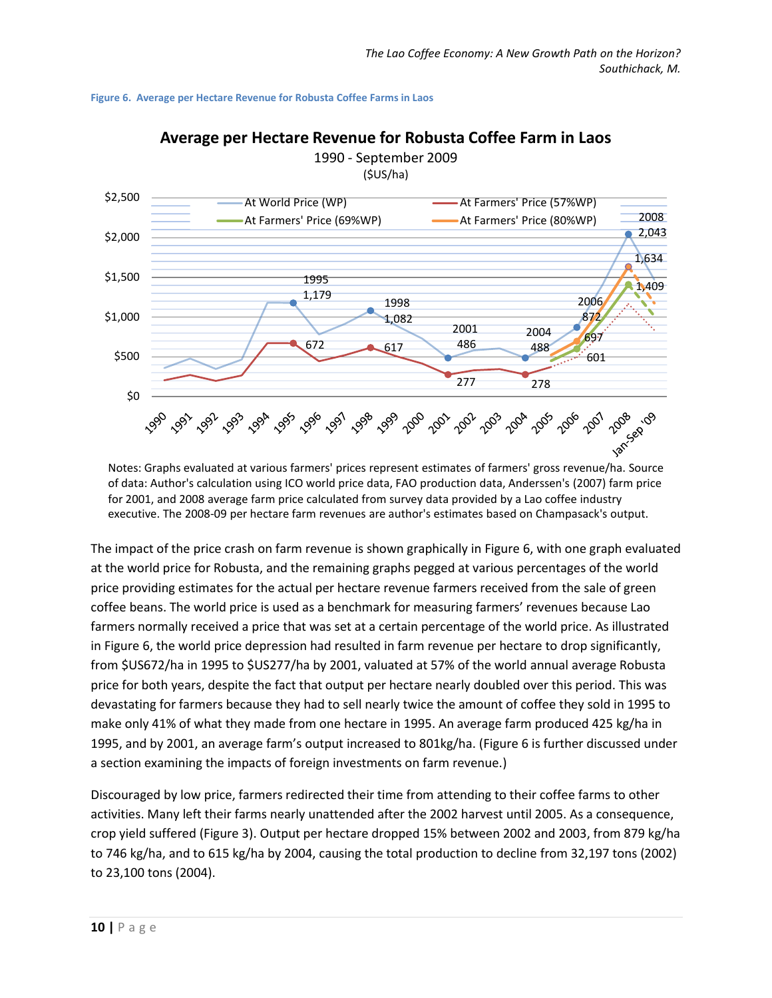



**Average per Hectare Revenue for Robusta Coffee Farm in Laos**

Notes: Graphs evaluated at various farmers' prices represent estimates of farmers' gross revenue/ha. Source of data: Author's calculation using ICO world price data, FAO production data, Anderssen's (2007) farm price for 2001, and 2008 average farm price calculated from survey data provided by a Lao coffee industry executive. The 2008-09 per hectare farm revenues are author's estimates based on Champasack's output.

The impact of the price crash on farm revenue is shown graphically in Figure 6, with one graph evaluated at the world price for Robusta, and the remaining graphs pegged at various percentages of the world price providing estimates for the actual per hectare revenue farmers received from the sale of green coffee beans. The world price is used as a benchmark for measuring farmers' revenues because Lao farmers normally received a price that was set at a certain percentage of the world price. As illustrated in Figure 6, the world price depression had resulted in farm revenue per hectare to drop significantly, from \$US672/ha in 1995 to \$US277/ha by 2001, valuated at 57% of the world annual average Robusta price for both years, despite the fact that output per hectare nearly doubled over this period. This was devastating for farmers because they had to sell nearly twice the amount of coffee they sold in 1995 to make only 41% of what they made from one hectare in 1995. An average farm produced 425 kg/ha in 1995, and by 2001, an average farm's output increased to 801kg/ha. (Figure 6 is further discussed under a section examining the impacts of foreign investments on farm revenue.)

Discouraged by low price, farmers redirected their time from attending to their coffee farms to other activities. Many left their farms nearly unattended after the 2002 harvest until 2005. As a consequence, crop yield suffered (Figure 3). Output per hectare dropped 15% between 2002 and 2003, from 879 kg/ha to 746 kg/ha, and to 615 kg/ha by 2004, causing the total production to decline from 32,197 tons (2002) to 23,100 tons (2004).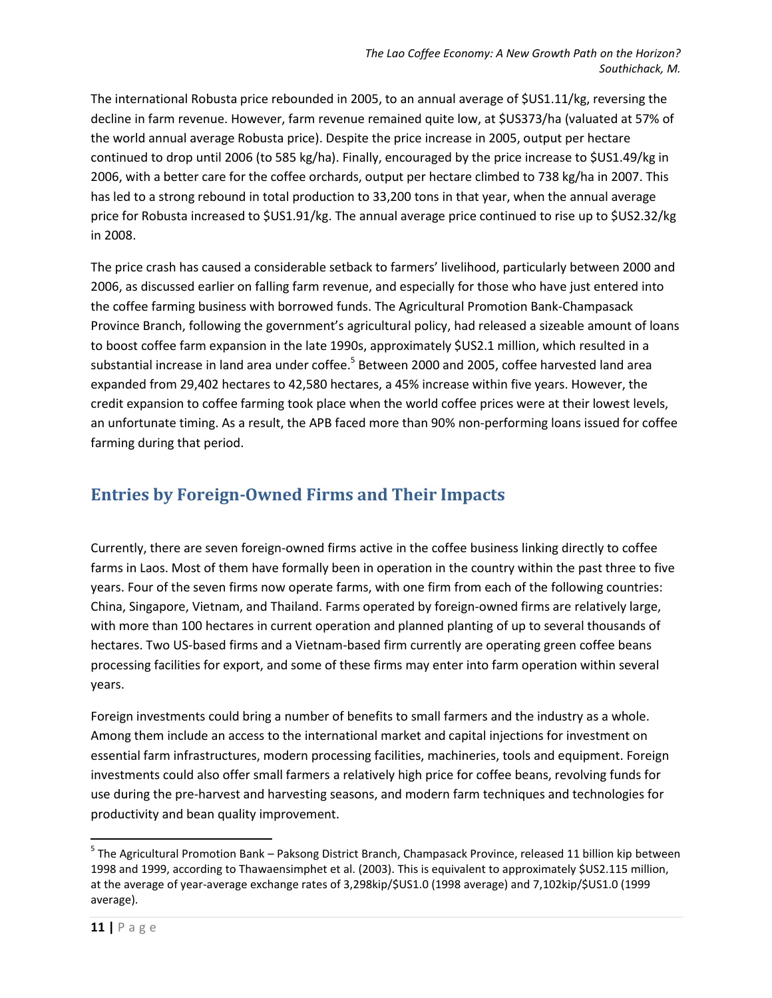The international Robusta price rebounded in 2005, to an annual average of \$US1.11/kg, reversing the decline in farm revenue. However, farm revenue remained quite low, at \$US373/ha (valuated at 57% of the world annual average Robusta price). Despite the price increase in 2005, output per hectare continued to drop until 2006 (to 585 kg/ha). Finally, encouraged by the price increase to \$US1.49/kg in 2006, with a better care for the coffee orchards, output per hectare climbed to 738 kg/ha in 2007. This has led to a strong rebound in total production to 33,200 tons in that year, when the annual average price for Robusta increased to \$US1.91/kg. The annual average price continued to rise up to \$US2.32/kg in 2008.

The price crash has caused a considerable setback to farmers' livelihood, particularly between 2000 and 2006, as discussed earlier on falling farm revenue, and especially for those who have just entered into the coffee farming business with borrowed funds. The Agricultural Promotion Bank-Champasack Province Branch, following the government's agricultural policy, had released a sizeable amount of loans to boost coffee farm expansion in the late 1990s, approximately \$US2.1 million, which resulted in a substantial increase in land area under coffee.<sup>5</sup> Between 2000 and 2005, coffee harvested land area expanded from 29,402 hectares to 42,580 hectares, a 45% increase within five years. However, the credit expansion to coffee farming took place when the world coffee prices were at their lowest levels, an unfortunate timing. As a result, the APB faced more than 90% non-performing loans issued for coffee farming during that period.

#### **Entries by Foreign-Owned Firms and Their Impacts**

Currently, there are seven foreign-owned firms active in the coffee business linking directly to coffee farms in Laos. Most of them have formally been in operation in the country within the past three to five years. Four of the seven firms now operate farms, with one firm from each of the following countries: China, Singapore, Vietnam, and Thailand. Farms operated by foreign-owned firms are relatively large, with more than 100 hectares in current operation and planned planting of up to several thousands of hectares. Two US-based firms and a Vietnam-based firm currently are operating green coffee beans processing facilities for export, and some of these firms may enter into farm operation within several years.

Foreign investments could bring a number of benefits to small farmers and the industry as a whole. Among them include an access to the international market and capital injections for investment on essential farm infrastructures, modern processing facilities, machineries, tools and equipment. Foreign investments could also offer small farmers a relatively high price for coffee beans, revolving funds for use during the pre-harvest and harvesting seasons, and modern farm techniques and technologies for productivity and bean quality improvement.

 $\overline{a}$ 

<sup>&</sup>lt;sup>5</sup> The Agricultural Promotion Bank – Paksong District Branch, Champasack Province, released 11 billion kip between 1998 and 1999, according to Thawaensimphet et al. (2003). This is equivalent to approximately \$US2.115 million, at the average of year-average exchange rates of 3,298kip/\$US1.0 (1998 average) and 7,102kip/\$US1.0 (1999 average).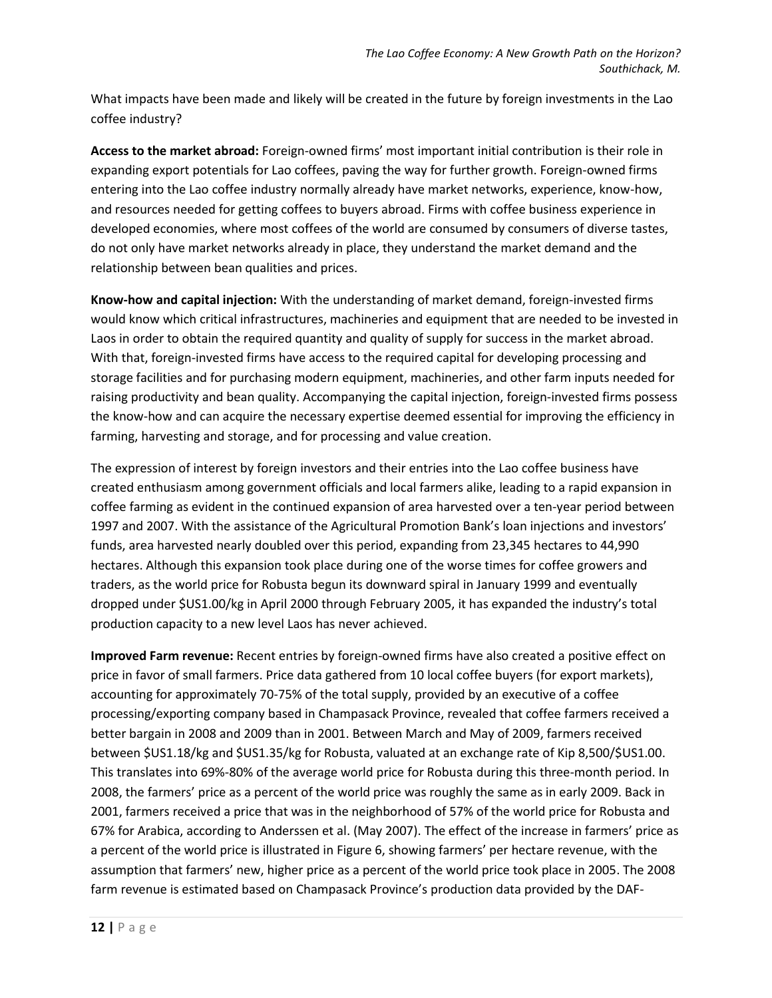What impacts have been made and likely will be created in the future by foreign investments in the Lao coffee industry?

**Access to the market abroad:** Foreign-owned firms' most important initial contribution is their role in expanding export potentials for Lao coffees, paving the way for further growth. Foreign-owned firms entering into the Lao coffee industry normally already have market networks, experience, know-how, and resources needed for getting coffees to buyers abroad. Firms with coffee business experience in developed economies, where most coffees of the world are consumed by consumers of diverse tastes, do not only have market networks already in place, they understand the market demand and the relationship between bean qualities and prices.

**Know-how and capital injection:** With the understanding of market demand, foreign-invested firms would know which critical infrastructures, machineries and equipment that are needed to be invested in Laos in order to obtain the required quantity and quality of supply for success in the market abroad. With that, foreign-invested firms have access to the required capital for developing processing and storage facilities and for purchasing modern equipment, machineries, and other farm inputs needed for raising productivity and bean quality. Accompanying the capital injection, foreign-invested firms possess the know-how and can acquire the necessary expertise deemed essential for improving the efficiency in farming, harvesting and storage, and for processing and value creation.

The expression of interest by foreign investors and their entries into the Lao coffee business have created enthusiasm among government officials and local farmers alike, leading to a rapid expansion in coffee farming as evident in the continued expansion of area harvested over a ten-year period between 1997 and 2007. With the assistance of the Agricultural Promotion Bank's loan injections and investors' funds, area harvested nearly doubled over this period, expanding from 23,345 hectares to 44,990 hectares. Although this expansion took place during one of the worse times for coffee growers and traders, as the world price for Robusta begun its downward spiral in January 1999 and eventually dropped under \$US1.00/kg in April 2000 through February 2005, it has expanded the industry's total production capacity to a new level Laos has never achieved.

**Improved Farm revenue:** Recent entries by foreign-owned firms have also created a positive effect on price in favor of small farmers. Price data gathered from 10 local coffee buyers (for export markets), accounting for approximately 70-75% of the total supply, provided by an executive of a coffee processing/exporting company based in Champasack Province, revealed that coffee farmers received a better bargain in 2008 and 2009 than in 2001. Between March and May of 2009, farmers received between \$US1.18/kg and \$US1.35/kg for Robusta, valuated at an exchange rate of Kip 8,500/\$US1.00. This translates into 69%-80% of the average world price for Robusta during this three-month period. In 2008, the farmers' price as a percent of the world price was roughly the same as in early 2009. Back in 2001, farmers received a price that was in the neighborhood of 57% of the world price for Robusta and 67% for Arabica, according to Anderssen et al. (May 2007). The effect of the increase in farmers' price as a percent of the world price is illustrated in Figure 6, showing farmers' per hectare revenue, with the assumption that farmers' new, higher price as a percent of the world price took place in 2005. The 2008 farm revenue is estimated based on Champasack Province's production data provided by the DAF-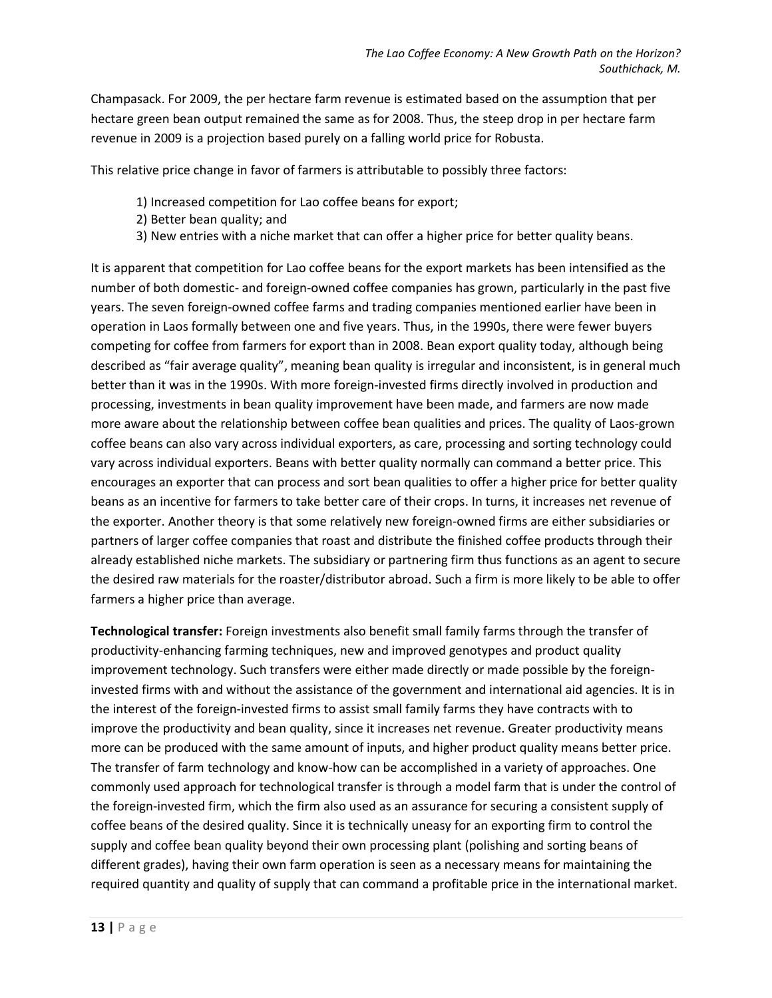Champasack. For 2009, the per hectare farm revenue is estimated based on the assumption that per hectare green bean output remained the same as for 2008. Thus, the steep drop in per hectare farm revenue in 2009 is a projection based purely on a falling world price for Robusta.

This relative price change in favor of farmers is attributable to possibly three factors:

- 1) Increased competition for Lao coffee beans for export;
- 2) Better bean quality; and
- 3) New entries with a niche market that can offer a higher price for better quality beans.

It is apparent that competition for Lao coffee beans for the export markets has been intensified as the number of both domestic- and foreign-owned coffee companies has grown, particularly in the past five years. The seven foreign-owned coffee farms and trading companies mentioned earlier have been in operation in Laos formally between one and five years. Thus, in the 1990s, there were fewer buyers competing for coffee from farmers for export than in 2008. Bean export quality today, although being described as "fair average quality", meaning bean quality is irregular and inconsistent, is in general much better than it was in the 1990s. With more foreign-invested firms directly involved in production and processing, investments in bean quality improvement have been made, and farmers are now made more aware about the relationship between coffee bean qualities and prices. The quality of Laos-grown coffee beans can also vary across individual exporters, as care, processing and sorting technology could vary across individual exporters. Beans with better quality normally can command a better price. This encourages an exporter that can process and sort bean qualities to offer a higher price for better quality beans as an incentive for farmers to take better care of their crops. In turns, it increases net revenue of the exporter. Another theory is that some relatively new foreign-owned firms are either subsidiaries or partners of larger coffee companies that roast and distribute the finished coffee products through their already established niche markets. The subsidiary or partnering firm thus functions as an agent to secure the desired raw materials for the roaster/distributor abroad. Such a firm is more likely to be able to offer farmers a higher price than average.

**Technological transfer:** Foreign investments also benefit small family farms through the transfer of productivity-enhancing farming techniques, new and improved genotypes and product quality improvement technology. Such transfers were either made directly or made possible by the foreigninvested firms with and without the assistance of the government and international aid agencies. It is in the interest of the foreign-invested firms to assist small family farms they have contracts with to improve the productivity and bean quality, since it increases net revenue. Greater productivity means more can be produced with the same amount of inputs, and higher product quality means better price. The transfer of farm technology and know-how can be accomplished in a variety of approaches. One commonly used approach for technological transfer is through a model farm that is under the control of the foreign-invested firm, which the firm also used as an assurance for securing a consistent supply of coffee beans of the desired quality. Since it is technically uneasy for an exporting firm to control the supply and coffee bean quality beyond their own processing plant (polishing and sorting beans of different grades), having their own farm operation is seen as a necessary means for maintaining the required quantity and quality of supply that can command a profitable price in the international market.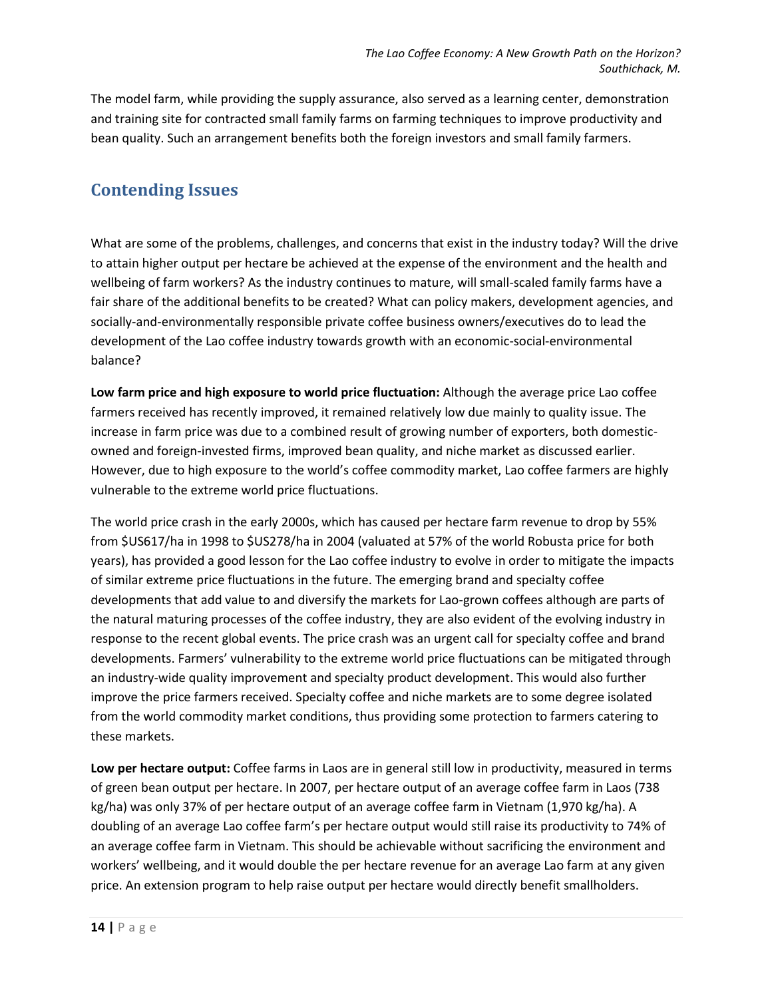The model farm, while providing the supply assurance, also served as a learning center, demonstration and training site for contracted small family farms on farming techniques to improve productivity and bean quality. Such an arrangement benefits both the foreign investors and small family farmers.

### **Contending Issues**

What are some of the problems, challenges, and concerns that exist in the industry today? Will the drive to attain higher output per hectare be achieved at the expense of the environment and the health and wellbeing of farm workers? As the industry continues to mature, will small-scaled family farms have a fair share of the additional benefits to be created? What can policy makers, development agencies, and socially-and-environmentally responsible private coffee business owners/executives do to lead the development of the Lao coffee industry towards growth with an economic-social-environmental balance?

**Low farm price and high exposure to world price fluctuation:** Although the average price Lao coffee farmers received has recently improved, it remained relatively low due mainly to quality issue. The increase in farm price was due to a combined result of growing number of exporters, both domesticowned and foreign-invested firms, improved bean quality, and niche market as discussed earlier. However, due to high exposure to the world's coffee commodity market, Lao coffee farmers are highly vulnerable to the extreme world price fluctuations.

The world price crash in the early 2000s, which has caused per hectare farm revenue to drop by 55% from \$US617/ha in 1998 to \$US278/ha in 2004 (valuated at 57% of the world Robusta price for both years), has provided a good lesson for the Lao coffee industry to evolve in order to mitigate the impacts of similar extreme price fluctuations in the future. The emerging brand and specialty coffee developments that add value to and diversify the markets for Lao-grown coffees although are parts of the natural maturing processes of the coffee industry, they are also evident of the evolving industry in response to the recent global events. The price crash was an urgent call for specialty coffee and brand developments. Farmers' vulnerability to the extreme world price fluctuations can be mitigated through an industry-wide quality improvement and specialty product development. This would also further improve the price farmers received. Specialty coffee and niche markets are to some degree isolated from the world commodity market conditions, thus providing some protection to farmers catering to these markets.

**Low per hectare output:** Coffee farms in Laos are in general still low in productivity, measured in terms of green bean output per hectare. In 2007, per hectare output of an average coffee farm in Laos (738 kg/ha) was only 37% of per hectare output of an average coffee farm in Vietnam (1,970 kg/ha). A doubling of an average Lao coffee farm's per hectare output would still raise its productivity to 74% of an average coffee farm in Vietnam. This should be achievable without sacrificing the environment and workers' wellbeing, and it would double the per hectare revenue for an average Lao farm at any given price. An extension program to help raise output per hectare would directly benefit smallholders.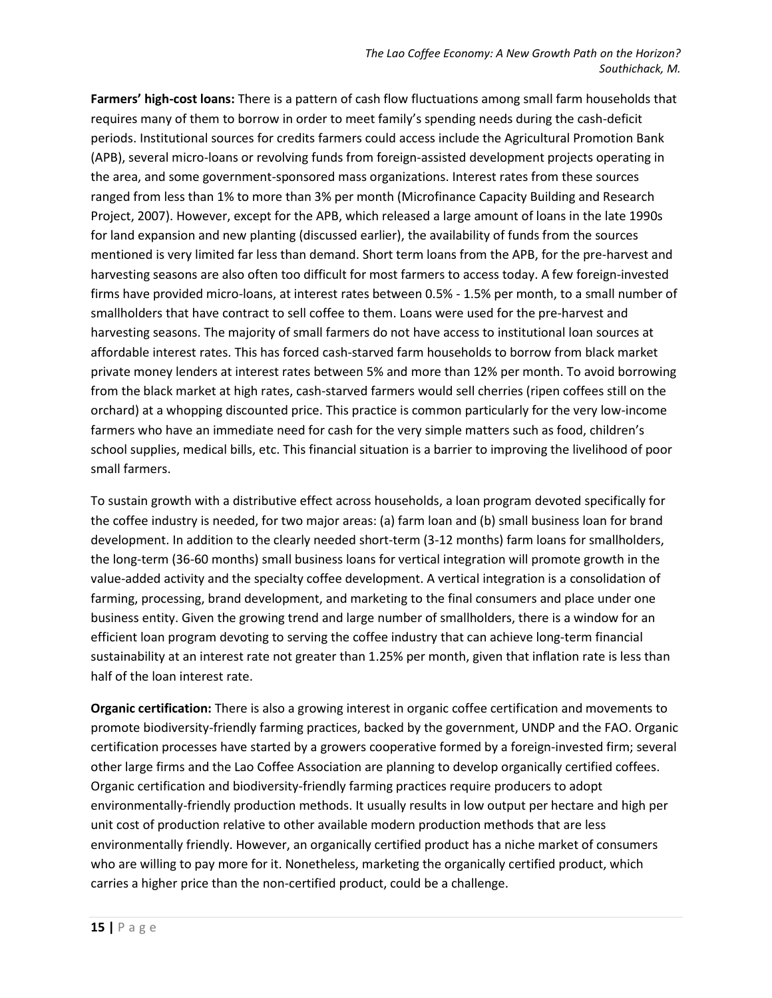**Farmers' high-cost loans:** There is a pattern of cash flow fluctuations among small farm households that requires many of them to borrow in order to meet family's spending needs during the cash-deficit periods. Institutional sources for credits farmers could access include the Agricultural Promotion Bank (APB), several micro-loans or revolving funds from foreign-assisted development projects operating in the area, and some government-sponsored mass organizations. Interest rates from these sources ranged from less than 1% to more than 3% per month (Microfinance Capacity Building and Research Project, 2007). However, except for the APB, which released a large amount of loans in the late 1990s for land expansion and new planting (discussed earlier), the availability of funds from the sources mentioned is very limited far less than demand. Short term loans from the APB, for the pre-harvest and harvesting seasons are also often too difficult for most farmers to access today. A few foreign-invested firms have provided micro-loans, at interest rates between 0.5% - 1.5% per month, to a small number of smallholders that have contract to sell coffee to them. Loans were used for the pre-harvest and harvesting seasons. The majority of small farmers do not have access to institutional loan sources at affordable interest rates. This has forced cash-starved farm households to borrow from black market private money lenders at interest rates between 5% and more than 12% per month. To avoid borrowing from the black market at high rates, cash-starved farmers would sell cherries (ripen coffees still on the orchard) at a whopping discounted price. This practice is common particularly for the very low-income farmers who have an immediate need for cash for the very simple matters such as food, children's school supplies, medical bills, etc. This financial situation is a barrier to improving the livelihood of poor small farmers.

To sustain growth with a distributive effect across households, a loan program devoted specifically for the coffee industry is needed, for two major areas: (a) farm loan and (b) small business loan for brand development. In addition to the clearly needed short-term (3-12 months) farm loans for smallholders, the long-term (36-60 months) small business loans for vertical integration will promote growth in the value-added activity and the specialty coffee development. A vertical integration is a consolidation of farming, processing, brand development, and marketing to the final consumers and place under one business entity. Given the growing trend and large number of smallholders, there is a window for an efficient loan program devoting to serving the coffee industry that can achieve long-term financial sustainability at an interest rate not greater than 1.25% per month, given that inflation rate is less than half of the loan interest rate.

**Organic certification:** There is also a growing interest in organic coffee certification and movements to promote biodiversity-friendly farming practices, backed by the government, UNDP and the FAO. Organic certification processes have started by a growers cooperative formed by a foreign-invested firm; several other large firms and the Lao Coffee Association are planning to develop organically certified coffees. Organic certification and biodiversity-friendly farming practices require producers to adopt environmentally-friendly production methods. It usually results in low output per hectare and high per unit cost of production relative to other available modern production methods that are less environmentally friendly. However, an organically certified product has a niche market of consumers who are willing to pay more for it. Nonetheless, marketing the organically certified product, which carries a higher price than the non-certified product, could be a challenge.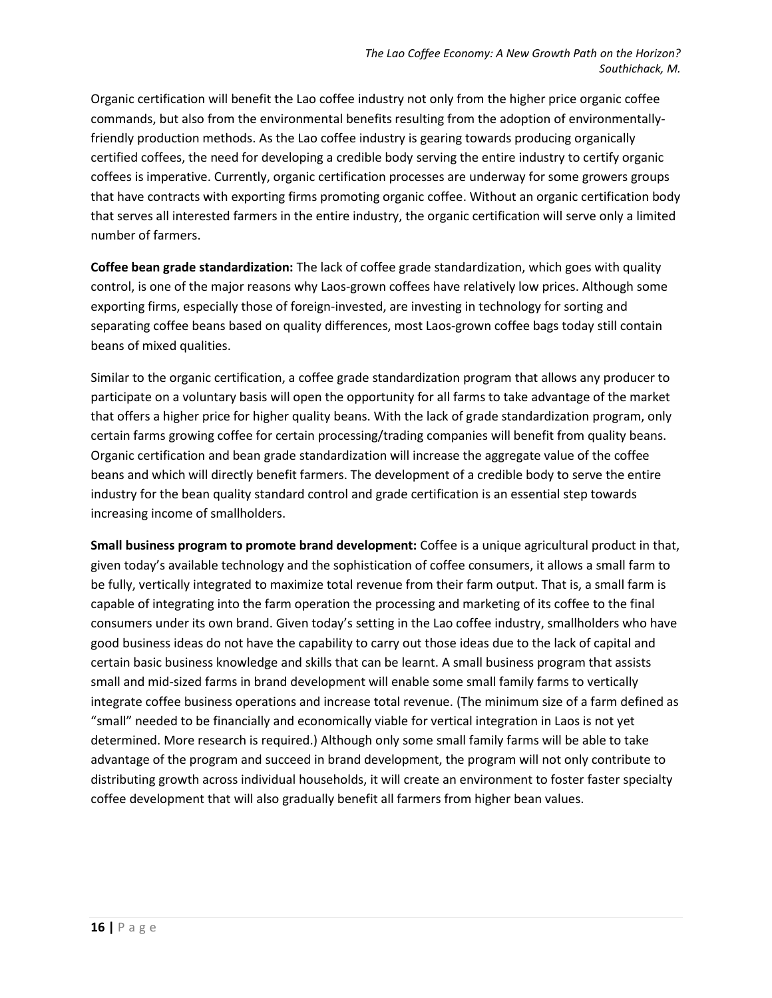Organic certification will benefit the Lao coffee industry not only from the higher price organic coffee commands, but also from the environmental benefits resulting from the adoption of environmentallyfriendly production methods. As the Lao coffee industry is gearing towards producing organically certified coffees, the need for developing a credible body serving the entire industry to certify organic coffees is imperative. Currently, organic certification processes are underway for some growers groups that have contracts with exporting firms promoting organic coffee. Without an organic certification body that serves all interested farmers in the entire industry, the organic certification will serve only a limited number of farmers.

**Coffee bean grade standardization:** The lack of coffee grade standardization, which goes with quality control, is one of the major reasons why Laos-grown coffees have relatively low prices. Although some exporting firms, especially those of foreign-invested, are investing in technology for sorting and separating coffee beans based on quality differences, most Laos-grown coffee bags today still contain beans of mixed qualities.

Similar to the organic certification, a coffee grade standardization program that allows any producer to participate on a voluntary basis will open the opportunity for all farms to take advantage of the market that offers a higher price for higher quality beans. With the lack of grade standardization program, only certain farms growing coffee for certain processing/trading companies will benefit from quality beans. Organic certification and bean grade standardization will increase the aggregate value of the coffee beans and which will directly benefit farmers. The development of a credible body to serve the entire industry for the bean quality standard control and grade certification is an essential step towards increasing income of smallholders.

**Small business program to promote brand development:** Coffee is a unique agricultural product in that, given today's available technology and the sophistication of coffee consumers, it allows a small farm to be fully, vertically integrated to maximize total revenue from their farm output. That is, a small farm is capable of integrating into the farm operation the processing and marketing of its coffee to the final consumers under its own brand. Given today's setting in the Lao coffee industry, smallholders who have good business ideas do not have the capability to carry out those ideas due to the lack of capital and certain basic business knowledge and skills that can be learnt. A small business program that assists small and mid-sized farms in brand development will enable some small family farms to vertically integrate coffee business operations and increase total revenue. (The minimum size of a farm defined as "small" needed to be financially and economically viable for vertical integration in Laos is not yet determined. More research is required.) Although only some small family farms will be able to take advantage of the program and succeed in brand development, the program will not only contribute to distributing growth across individual households, it will create an environment to foster faster specialty coffee development that will also gradually benefit all farmers from higher bean values.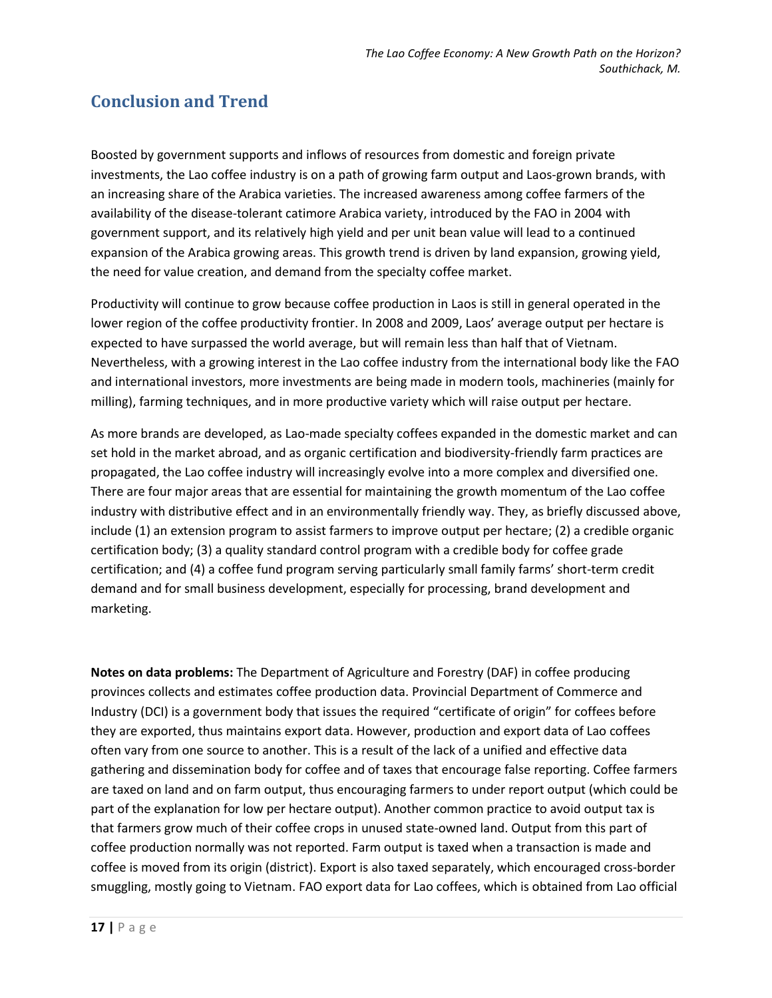## **Conclusion and Trend**

Boosted by government supports and inflows of resources from domestic and foreign private investments, the Lao coffee industry is on a path of growing farm output and Laos-grown brands, with an increasing share of the Arabica varieties. The increased awareness among coffee farmers of the availability of the disease-tolerant catimore Arabica variety, introduced by the FAO in 2004 with government support, and its relatively high yield and per unit bean value will lead to a continued expansion of the Arabica growing areas. This growth trend is driven by land expansion, growing yield, the need for value creation, and demand from the specialty coffee market.

Productivity will continue to grow because coffee production in Laos is still in general operated in the lower region of the coffee productivity frontier. In 2008 and 2009, Laos' average output per hectare is expected to have surpassed the world average, but will remain less than half that of Vietnam. Nevertheless, with a growing interest in the Lao coffee industry from the international body like the FAO and international investors, more investments are being made in modern tools, machineries (mainly for milling), farming techniques, and in more productive variety which will raise output per hectare.

As more brands are developed, as Lao-made specialty coffees expanded in the domestic market and can set hold in the market abroad, and as organic certification and biodiversity-friendly farm practices are propagated, the Lao coffee industry will increasingly evolve into a more complex and diversified one. There are four major areas that are essential for maintaining the growth momentum of the Lao coffee industry with distributive effect and in an environmentally friendly way. They, as briefly discussed above, include (1) an extension program to assist farmers to improve output per hectare; (2) a credible organic certification body; (3) a quality standard control program with a credible body for coffee grade certification; and (4) a coffee fund program serving particularly small family farms' short-term credit demand and for small business development, especially for processing, brand development and marketing.

**Notes on data problems:** The Department of Agriculture and Forestry (DAF) in coffee producing provinces collects and estimates coffee production data. Provincial Department of Commerce and Industry (DCI) is a government body that issues the required "certificate of origin" for coffees before they are exported, thus maintains export data. However, production and export data of Lao coffees often vary from one source to another. This is a result of the lack of a unified and effective data gathering and dissemination body for coffee and of taxes that encourage false reporting. Coffee farmers are taxed on land and on farm output, thus encouraging farmers to under report output (which could be part of the explanation for low per hectare output). Another common practice to avoid output tax is that farmers grow much of their coffee crops in unused state-owned land. Output from this part of coffee production normally was not reported. Farm output is taxed when a transaction is made and coffee is moved from its origin (district). Export is also taxed separately, which encouraged cross-border smuggling, mostly going to Vietnam. FAO export data for Lao coffees, which is obtained from Lao official